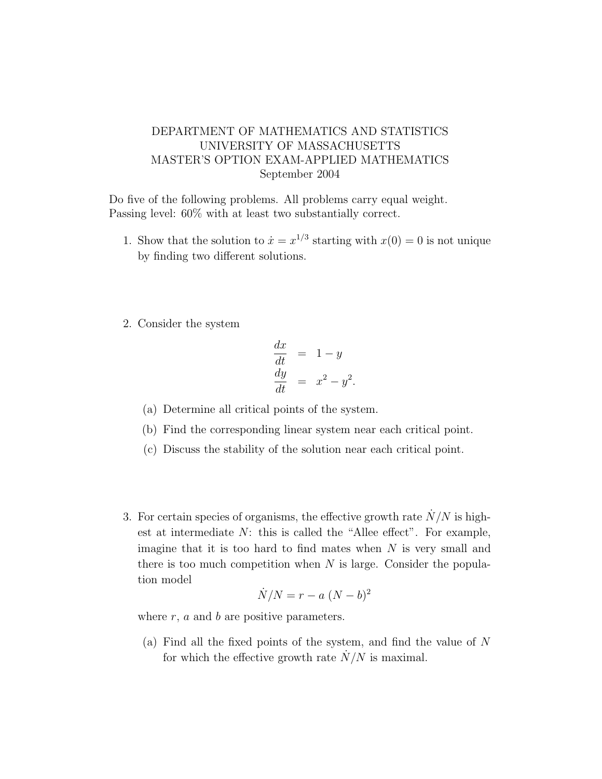## DEPARTMENT OF MATHEMATICS AND STATISTICS UNIVERSITY OF MASSACHUSETTS MASTER'S OPTION EXAM-APPLIED MATHEMATICS September 2004

Do five of the following problems. All problems carry equal weight. Passing level: 60% with at least two substantially correct.

- 1. Show that the solution to  $\dot{x} = x^{1/3}$  starting with  $x(0) = 0$  is not unique by finding two different solutions.
- 2. Consider the system

$$
\begin{array}{rcl}\n\frac{dx}{dt} & = & 1 - y \\
\frac{dy}{dt} & = & x^2 - y^2.\n\end{array}
$$

- (a) Determine all critical points of the system.
- (b) Find the corresponding linear system near each critical point.
- (c) Discuss the stability of the solution near each critical point.
- 3. For certain species of organisms, the effective growth rate  $\dot{N}/N$  is highest at intermediate  $N$ : this is called the "Allee effect". For example, imagine that it is too hard to find mates when  $N$  is very small and there is too much competition when  $N$  is large. Consider the population model

$$
\dot{N}/N = r - a (N - b)^2
$$

where  $r$ ,  $a$  and  $b$  are positive parameters.

(a) Find all the fixed points of the system, and find the value of N for which the effective growth rate  $\dot{N}/N$  is maximal.